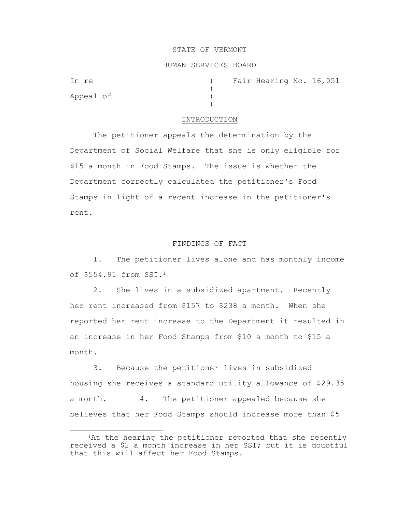#### STATE OF VERMONT

## HUMAN SERVICES BOARD

)

 $\lambda$ 

Appeal of )

In re (a) The Fair Hearing No. 16,051

### INTRODUCTION

The petitioner appeals the determination by the Department of Social Welfare that she is only eligible for \$15 a month in Food Stamps. The issue is whether the Department correctly calculated the petitioner's Food Stamps in light of a recent increase in the petitioner's rent.

## FINDINGS OF FACT

1. The petitioner lives alone and has monthly income of \$554.91 from SSI.<sup>1</sup>

2. She lives in a subsidized apartment. Recently her rent increased from \$157 to \$238 a month. When she reported her rent increase to the Department it resulted in an increase in her Food Stamps from \$10 a month to \$15 a month.

3. Because the petitioner lives in subsidized housing she receives a standard utility allowance of \$29.35 a month. 4. The petitioner appealed because she believes that her Food Stamps should increase more than \$5

<sup>&</sup>lt;sup>1</sup>At the hearing the petitioner reported that she recently received a \$2 a month increase in her SSI; but it is doubtful that this will affect her Food Stamps.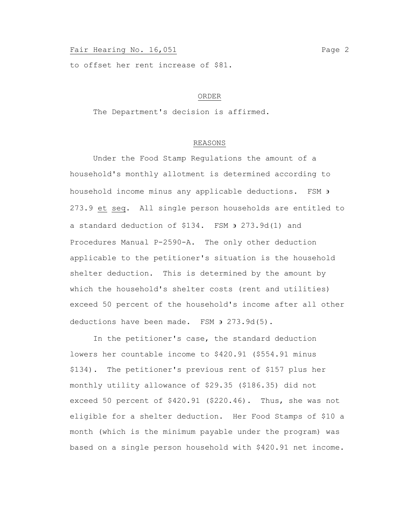# Fair Hearing No. 16,051 Page 2

to offset her rent increase of \$81.

## ORDER

The Department's decision is affirmed.

# REASONS

Under the Food Stamp Regulations the amount of a household's monthly allotment is determined according to household income minus any applicable deductions. FSM  $\overline{\phantom{a}}$ 273.9 et seq. All single person households are entitled to a standard deduction of  $$134.$  FSM  $\rightarrow$  273.9d(1) and Procedures Manual P-2590-A. The only other deduction applicable to the petitioner's situation is the household shelter deduction. This is determined by the amount by which the household's shelter costs (rent and utilities) exceed 50 percent of the household's income after all other deductions have been made. FSM  $\theta$  273.9d(5).

In the petitioner's case, the standard deduction lowers her countable income to \$420.91 (\$554.91 minus \$134). The petitioner's previous rent of \$157 plus her monthly utility allowance of \$29.35 (\$186.35) did not exceed 50 percent of \$420.91 (\$220.46). Thus, she was not eligible for a shelter deduction. Her Food Stamps of \$10 a month (which is the minimum payable under the program) was based on a single person household with \$420.91 net income.